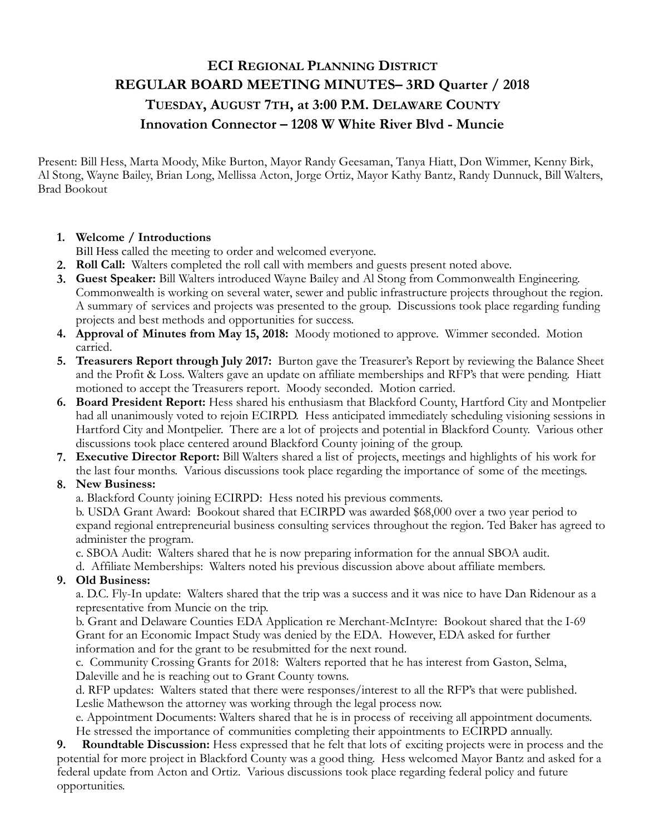## **ECI REGIONAL PLANNING DISTRICT REGULAR BOARD MEETING MINUTES– 3RD Quarter / 2018 TUESDAY, AUGUST 7TH, at 3:00 P.M. DELAWARE COUNTY Innovation Connector – 1208 W White River Blvd - Muncie**

Present: Bill Hess, Marta Moody, Mike Burton, Mayor Randy Geesaman, Tanya Hiatt, Don Wimmer, Kenny Birk, Al Stong, Wayne Bailey, Brian Long, Mellissa Acton, Jorge Ortiz, Mayor Kathy Bantz, Randy Dunnuck, Bill Walters, Brad Bookout

## **1. Welcome / Introductions**

Bill Hess called the meeting to order and welcomed everyone.

- **2. Roll Call:** Walters completed the roll call with members and guests present noted above.
- **3. Guest Speaker:** Bill Walters introduced Wayne Bailey and Al Stong from Commonwealth Engineering. Commonwealth is working on several water, sewer and public infrastructure projects throughout the region. A summary of services and projects was presented to the group. Discussions took place regarding funding projects and best methods and opportunities for success.
- **4. Approval of Minutes from May 15, 2018:** Moody motioned to approve. Wimmer seconded. Motion carried.
- **5. Treasurers Report through July 2017:** Burton gave the Treasurer's Report by reviewing the Balance Sheet and the Profit & Loss. Walters gave an update on affiliate memberships and RFP's that were pending. Hiatt motioned to accept the Treasurers report. Moody seconded. Motion carried.
- **6. Board President Report:** Hess shared his enthusiasm that Blackford County, Hartford City and Montpelier had all unanimously voted to rejoin ECIRPD. Hess anticipated immediately scheduling visioning sessions in Hartford City and Montpelier. There are a lot of projects and potential in Blackford County. Various other discussions took place centered around Blackford County joining of the group.
- **7. Executive Director Report:** Bill Walters shared a list of projects, meetings and highlights of his work for the last four months. Various discussions took place regarding the importance of some of the meetings.

## **8. New Business:**

a. Blackford County joining ECIRPD: Hess noted his previous comments.

 b. USDA Grant Award: Bookout shared that ECIRPD was awarded \$68,000 over a two year period to expand regional entrepreneurial business consulting services throughout the region. Ted Baker has agreed to administer the program.

c. SBOA Audit: Walters shared that he is now preparing information for the annual SBOA audit.

d. Affiliate Memberships: Walters noted his previous discussion above about affiliate members.

## **9. Old Business:**

 a. D.C. Fly-In update: Walters shared that the trip was a success and it was nice to have Dan Ridenour as a representative from Muncie on the trip.

 b. Grant and Delaware Counties EDA Application re Merchant-McIntyre: Bookout shared that the I-69 Grant for an Economic Impact Study was denied by the EDA. However, EDA asked for further information and for the grant to be resubmitted for the next round.

 c. Community Crossing Grants for 2018: Walters reported that he has interest from Gaston, Selma, Daleville and he is reaching out to Grant County towns.

 d. RFP updates: Walters stated that there were responses/interest to all the RFP's that were published. Leslie Mathewson the attorney was working through the legal process now.

 e. Appointment Documents: Walters shared that he is in process of receiving all appointment documents. He stressed the importance of communities completing their appointments to ECIRPD annually.

**9. Roundtable Discussion:** Hess expressed that he felt that lots of exciting projects were in process and the potential for more project in Blackford County was a good thing. Hess welcomed Mayor Bantz and asked for a federal update from Acton and Ortiz. Various discussions took place regarding federal policy and future opportunities.